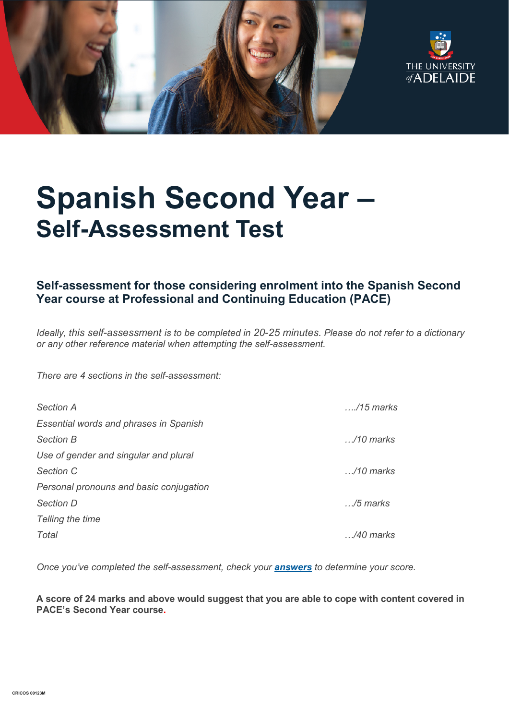



# **Spanish Second Year – Self-Assessment Test**

## **Self-assessment for those considering enrolment into the Spanish Second Year course at Professional and Continuing Education (PACE)**

*Ideally, this self-assessment is to be completed in 20-25 minutes. Please do not refer to a dictionary or any other reference material when attempting the self-assessment.*

*There are 4 sections in the self-assessment:*

| <b>Section A</b>                              | $\ldots$ /15 marks |
|-----------------------------------------------|--------------------|
| <b>Essential words and phrases in Spanish</b> |                    |
| <b>Section B</b>                              | $\ldots$ /10 marks |
| Use of gender and singular and plural         |                    |
| Section C                                     | $\ldots$ /10 marks |
| Personal pronouns and basic conjugation       |                    |
| <b>Section D</b>                              | $\ldots$ /5 marks  |
| Telling the time                              |                    |
| Total                                         | /40 marks          |

*Once you've completed the self-assessment, check your [answers](https://www.adelaide.edu.au/pace/system/files/media/documents/2021-11/placement_test-spanish_year_2_answers.pdf) to determine your score.* 

**A score of 24 marks and above would suggest that you are able to cope with content covered in PACE's Second Year course.**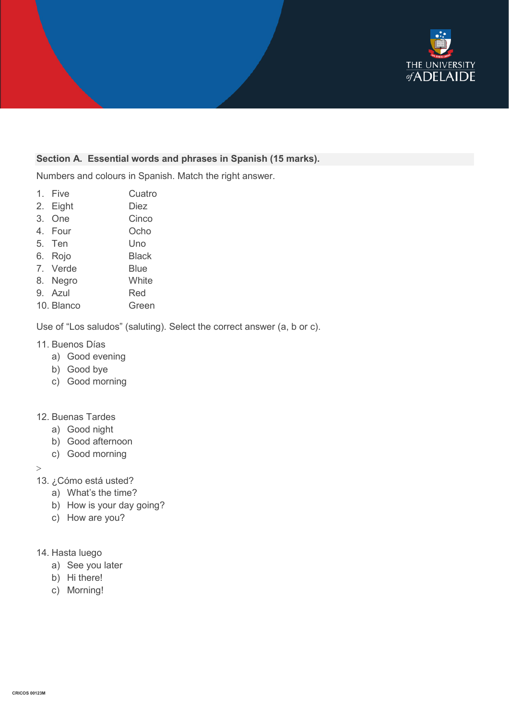

#### **Section A. Essential words and phrases in Spanish (15 marks).**

Numbers and colours in Spanish. Match the right answer.

- 1. Five Cuatro
- 2. Eight Diez
- 3. One Cinco
- 4. Four Ocho
- 5. Ten Uno
- 6. Rojo Black
- 7. Verde Blue
- 8. Negro White
- 9. Azul Red
- 10. Blanco Green

Use of "Los saludos" (saluting). Select the correct answer (a, b or c).

#### 11. Buenos Días

- a) Good evening
- b) Good bye
- c) Good morning

#### 12. Buenas Tardes

- a) Good night
- b) Good afternoon
- c) Good morning

 $\geq$ 

- 13. ¿Cómo está usted?
	- a) What's the time?
	- b) How is your day going?
	- c) How are you?
- 14. Hasta luego
	- a) See you later
	- b) Hi there!
	- c) Morning!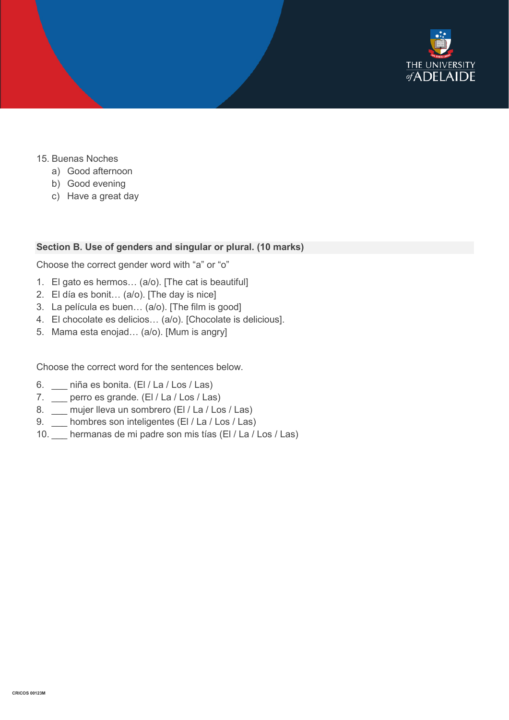

- 15. Buenas Noches
	- a) Good afternoon
	- b) Good evening
	- c) Have a great day

#### **Section B. Use of genders and singular or plural. (10 marks)**

Choose the correct gender word with "a" or "o"

- 1. El gato es hermos… (a/o). [The cat is beautiful]
- 2. El día es bonit… (a/o). [The day is nice]
- 3. La película es buen… (a/o). [The film is good]
- 4. El chocolate es delicios… (a/o). [Chocolate is delicious].
- 5. Mama esta enojad… (a/o). [Mum is angry]

Choose the correct word for the sentences below.

- 6. \_\_\_ niña es bonita. (El / La / Los / Las)
- 7. \_\_\_ perro es grande. (El / La / Los / Las)
- 8. \_\_ mujer lleva un sombrero (El / La / Los / Las)
- 9. hombres son inteligentes (El / La / Los / Las)
- 10. \_\_\_ hermanas de mi padre son mis tías (El / La / Los / Las)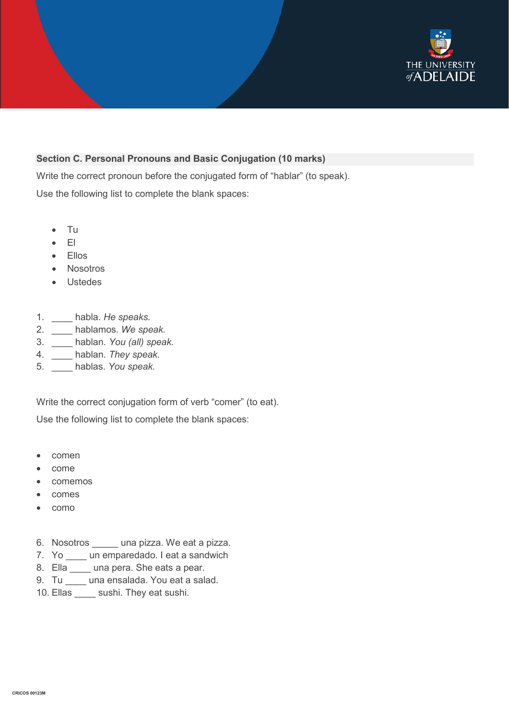

#### **Section C. Personal Pronouns and Basic Conjugation (10 marks)**

Write the correct pronoun before the conjugated form of "hablar" (to speak). Use the following list to complete the blank spaces:

- Tu
- El
- Ellos
- Nosotros
- Ustedes
- 1. \_\_\_\_ habla. *He speaks.*
- 2. \_\_\_\_ hablamos. *We speak.*
- 3. \_\_\_\_ hablan. *You (all) speak.*
- 4. \_\_\_\_ hablan. *They speak.*
- 5. \_\_\_\_ hablas. *You speak.*

Write the correct conjugation form of verb "comer" (to eat).

Use the following list to complete the blank spaces:

- comen
- come
- comemos
- comes
- como
- 6. Nosotros \_\_\_\_\_ una pizza. We eat a pizza.
- 7. Yo \_\_\_\_ un emparedado. I eat a sandwich
- 8. Ella \_\_\_\_ una pera. She eats a pear.
- 9. Tu \_\_\_\_ una ensalada. You eat a salad.
- 10. Ellas \_\_\_\_\_ sushi. They eat sushi.